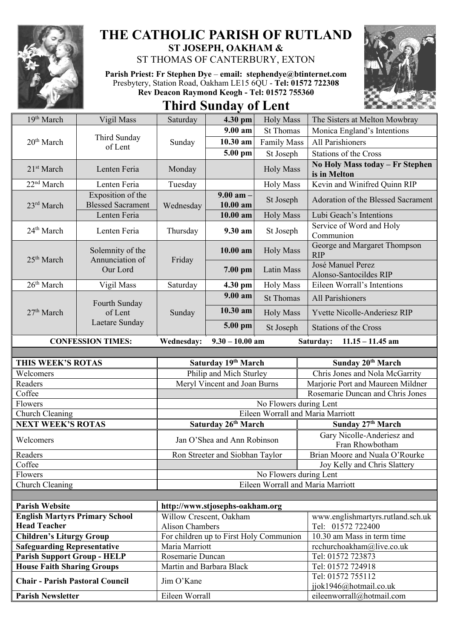

## **THE CATHOLIC PARISH OF RUTLAND ST JOSEPH, OAKHAM &**

ST THOMAS OF CANTERBURY, EXTON

**Parish Priest: Fr Stephen Dye** – **[email: stephendye@btinternet.com](mailto:email:%20%20stephendye@btinternet.com)** Presbytery, Station Road, Oakham LE15 6QU - **Tel: 01572 722308 Rev Deacon Raymond Keogh - Tel: 01572 755360**





| 19th March                                                                  | Vigil Mass                                      | Saturday                                     | 4.30 pm                                            | <b>Holy Mass</b>                  | The Sisters at Melton Mowbray                                  |
|-----------------------------------------------------------------------------|-------------------------------------------------|----------------------------------------------|----------------------------------------------------|-----------------------------------|----------------------------------------------------------------|
| 20 <sup>th</sup> March                                                      | Third Sunday<br>of Lent                         | Sunday                                       | $9.00 a$ m                                         | <b>St Thomas</b>                  | Monica England's Intentions                                    |
|                                                                             |                                                 |                                              | $10.30$ am                                         | <b>Family Mass</b>                | <b>All Parishioners</b>                                        |
|                                                                             |                                                 |                                              | 5.00 pm                                            | St Joseph                         | Stations of the Cross                                          |
| 21 <sup>st</sup> March                                                      | Lenten Feria                                    | Monday                                       |                                                    | <b>Holy Mass</b>                  | No Holy Mass today - Fr Stephen<br>is in Melton                |
| 22 <sup>nd</sup> March                                                      | Lenten Feria                                    | Tuesday                                      |                                                    | <b>Holy Mass</b>                  | Kevin and Winifred Quinn RIP                                   |
| 23rd March                                                                  | Exposition of the<br><b>Blessed Sacrament</b>   | Wednesday                                    | $9.00$ am $-$<br>10.00 am                          | St Joseph                         | Adoration of the Blessed Sacrament                             |
|                                                                             | Lenten Feria                                    |                                              | $10.00$ am                                         | <b>Holy Mass</b>                  | Lubi Geach's Intentions                                        |
| 24 <sup>th</sup> March                                                      | Lenten Feria                                    | Thursday                                     | 9.30 am                                            | St Joseph                         | Service of Word and Holy<br>Communion                          |
| 25 <sup>th</sup> March                                                      | Solemnity of the<br>Annunciation of<br>Our Lord | Friday                                       | 10.00 am                                           | <b>Holy Mass</b>                  | George and Margaret Thompson<br><b>RIP</b>                     |
|                                                                             |                                                 |                                              | 7.00 pm                                            | Latin Mass                        | José Manuel Perez<br>Alonso-Santocildes RIP                    |
| 26 <sup>th</sup> March                                                      | Vigil Mass                                      | Saturday                                     | 4.30 pm                                            | <b>Holy Mass</b>                  | Eileen Worrall's Intentions                                    |
| 27 <sup>th</sup> March                                                      | Fourth Sunday<br>of Lent<br>Laetare Sunday      | Sunday                                       | $9.00 a$ m                                         | <b>St Thomas</b>                  | All Parishioners                                               |
|                                                                             |                                                 |                                              | $10.30$ am                                         | <b>Holy Mass</b>                  | Yvette Nicolle-Anderiesz RIP                                   |
|                                                                             |                                                 |                                              | $5.00$ pm                                          | St Joseph                         | <b>Stations of the Cross</b>                                   |
|                                                                             | <b>CONFESSION TIMES:</b>                        | <b>Wednesday:</b>                            | $9.30 - 10.00$ am                                  |                                   | Saturday:<br>$11.15 - 11.45$ am                                |
|                                                                             |                                                 |                                              |                                                    |                                   |                                                                |
|                                                                             |                                                 |                                              |                                                    |                                   |                                                                |
| THIS WEEK'S ROTAS                                                           |                                                 |                                              | Saturday 19th March                                |                                   | Sunday 20 <sup>th</sup> March                                  |
| Welcomers                                                                   |                                                 |                                              | Philip and Mich Sturley                            |                                   | Chris Jones and Nola McGarrity                                 |
| Readers                                                                     |                                                 |                                              | Meryl Vincent and Joan Burns                       |                                   | Marjorie Port and Maureen Mildner                              |
| Coffee                                                                      |                                                 |                                              |                                                    |                                   | Rosemarie Duncan and Chris Jones                               |
| Flowers                                                                     |                                                 |                                              |                                                    | No Flowers during Lent            |                                                                |
| Church Cleaning                                                             |                                                 |                                              |                                                    | Eileen Worrall and Maria Marriott |                                                                |
| <b>NEXT WEEK'S ROTAS</b><br>Welcomers                                       |                                                 |                                              | Saturday 26th March<br>Jan O'Shea and Ann Robinson |                                   | Sunday 27th March<br>Gary Nicolle-Anderiesz and                |
| Readers                                                                     |                                                 |                                              |                                                    |                                   | Fran Rhowbotham                                                |
| Coffee                                                                      |                                                 |                                              | Ron Streeter and Siobhan Taylor                    |                                   | Brian Moore and Nuala O'Rourke<br>Joy Kelly and Chris Slattery |
| Flowers                                                                     |                                                 |                                              |                                                    | No Flowers during Lent            |                                                                |
| Church Cleaning                                                             |                                                 |                                              |                                                    | Eileen Worrall and Maria Marriott |                                                                |
|                                                                             |                                                 |                                              |                                                    |                                   |                                                                |
| <b>Parish Website</b>                                                       |                                                 |                                              | http://www.stjosephs-oakham.org                    |                                   |                                                                |
| <b>English Martyrs Primary School</b>                                       |                                                 | Willow Crescent, Oakham                      |                                                    |                                   | www.englishmartyrs.rutland.sch.uk                              |
| <b>Head Teacher</b>                                                         |                                                 | <b>Alison Chambers</b>                       |                                                    |                                   | Tel: 01572 722400                                              |
| <b>Children's Liturgy Group</b>                                             |                                                 |                                              | For children up to First Holy Communion            |                                   | 10.30 am Mass in term time                                     |
| <b>Safeguarding Representative</b>                                          |                                                 | Maria Marriott                               |                                                    |                                   | rcchurchoakham@live.co.uk                                      |
| <b>Parish Support Group - HELP</b>                                          |                                                 | Rosemarie Duncan<br>Martin and Barbara Black |                                                    |                                   | Tel: 01572 723873<br>Tel: 01572 724918                         |
| <b>House Faith Sharing Groups</b><br><b>Chair - Parish Pastoral Council</b> |                                                 | Jim O'Kane                                   |                                                    |                                   | Tel: 01572 755112<br>jjok1946@hotmail.co.uk                    |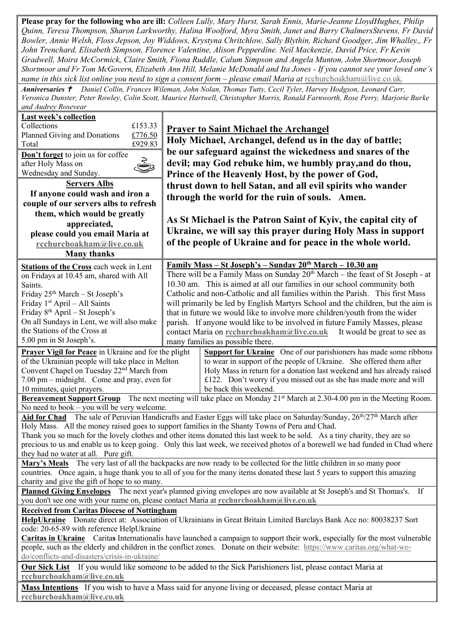**Please pray for the following who are ill:** *Colleen Lully, Mary Hurst, Sarah Ennis, Marie-Jeanne LloydHughes, Philip Quinn, Teresa Thompson, Sharon Larkworthy, Halina Woolford, Myra Smith, Janet and Barry ChalmersStevens, Fr David Bowler, Annie Welsh, Floss Jepson, Joy Widdows, Krystyna Chritchlow, Sally Blythin, Richard Goodger, Jim Whalley,, Fr John Trenchard, Elisabeth Simpson, Florence Valentine, Alison Pepperdine. Neil Mackenzie, David Price, Fr Kevin Gradwell, Moira McCormick, Claire Smith, Fiona Ruddle, Calum Simpson and Angela Munton, John Shortmoor,Joseph Shortmoor and Fr Tom McGovern, Elizabeth Ann Hill, Melanie McDonald and Ita Jones - If you cannot see your loved one's name in this sick list online you need to sign a consent form – please email Maria at* [rcchurchoakham@live.co.uk](mailto:rcchurchoakham@live.co.uk).

*Anniversaries Daniel Collin, Frances Wileman, John Nolan, Thomas Tutty, Cecil Tyler, Harvey Hodgson, Leonard Carr, Veronica Dunster, Peter Rowley, Colin Scott, Maurice Hartwell, Christopher Morris, Ronald Farnworth, Rose Perry, Marjorie Burke and Audrey Rosevear*

| <b>Last week's collection</b>                                                                                                                                                                                                                        |                                                                                                                                  |  |  |  |  |
|------------------------------------------------------------------------------------------------------------------------------------------------------------------------------------------------------------------------------------------------------|----------------------------------------------------------------------------------------------------------------------------------|--|--|--|--|
| Collections<br>£153.33                                                                                                                                                                                                                               | <b>Prayer to Saint Michael the Archangel</b>                                                                                     |  |  |  |  |
| Planned Giving and Donations<br>£776.50                                                                                                                                                                                                              |                                                                                                                                  |  |  |  |  |
| £929.83<br>Total                                                                                                                                                                                                                                     | Holy Michael, Archangel, defend us in the day of battle;                                                                         |  |  |  |  |
| Don't forget to join us for coffee                                                                                                                                                                                                                   | be our safeguard against the wickedness and snares of the                                                                        |  |  |  |  |
| Š<br>after Holy Mass on                                                                                                                                                                                                                              | devil; may God rebuke him, we humbly pray, and do thou,                                                                          |  |  |  |  |
| Wednesday and Sunday.                                                                                                                                                                                                                                | Prince of the Heavenly Host, by the power of God,                                                                                |  |  |  |  |
| <b>Servers Albs</b>                                                                                                                                                                                                                                  | thrust down to hell Satan, and all evil spirits who wander                                                                       |  |  |  |  |
| If anyone could wash and iron a                                                                                                                                                                                                                      | through the world for the ruin of souls. Amen.                                                                                   |  |  |  |  |
| couple of our servers albs to refresh                                                                                                                                                                                                                |                                                                                                                                  |  |  |  |  |
| them, which would be greatly                                                                                                                                                                                                                         |                                                                                                                                  |  |  |  |  |
| appreciated,                                                                                                                                                                                                                                         | As St Michael is the Patron Saint of Kyiv, the capital city of                                                                   |  |  |  |  |
| please could you email Maria at                                                                                                                                                                                                                      | Ukraine, we will say this prayer during Holy Mass in support                                                                     |  |  |  |  |
| rcchurchoakham@live.co.uk                                                                                                                                                                                                                            | of the people of Ukraine and for peace in the whole world.                                                                       |  |  |  |  |
| <b>Many thanks</b>                                                                                                                                                                                                                                   |                                                                                                                                  |  |  |  |  |
| <b>Stations of the Cross each week in Lent</b>                                                                                                                                                                                                       | <u> Family Mass – St Joseph's – Sunday 20<sup>th</sup> March – 10.30 am</u>                                                      |  |  |  |  |
| on Fridays at 10.45 am, shared with All                                                                                                                                                                                                              | There will be a Family Mass on Sunday 20 <sup>th</sup> March - the feast of St Joseph - at                                       |  |  |  |  |
| Saints.                                                                                                                                                                                                                                              | 10.30 am. This is aimed at all our families in our school community both                                                         |  |  |  |  |
| Friday 25 <sup>th</sup> March - St Joseph's                                                                                                                                                                                                          | Catholic and non-Catholic and all families within the Parish. This first Mass                                                    |  |  |  |  |
| Friday 1 <sup>st</sup> April - All Saints                                                                                                                                                                                                            | will primarily be led by English Martyrs School and the children, but the aim is                                                 |  |  |  |  |
| Friday 8 <sup>th</sup> April – St Joseph's                                                                                                                                                                                                           | that in future we would like to involve more children/youth from the wider                                                       |  |  |  |  |
| On all Sundays in Lent, we will also make                                                                                                                                                                                                            | parish. If anyone would like to be involved in future Family Masses, please                                                      |  |  |  |  |
| the Stations of the Cross at                                                                                                                                                                                                                         | contact Maria on rechurchoakham@live.co.uk<br>It would be great to see as                                                        |  |  |  |  |
| 5.00 pm in St Joseph's.                                                                                                                                                                                                                              | many families as possible there.                                                                                                 |  |  |  |  |
| <b>Prayer Vigil for Peace</b> in Ukraine and for the plight                                                                                                                                                                                          | <b>Support for Ukraine</b> One of our parishioners has made some ribbons                                                         |  |  |  |  |
| of the Ukrainian people will take place in Melton                                                                                                                                                                                                    | to wear in support of the people of Ukraine. She offered them after                                                              |  |  |  |  |
| Convent Chapel on Tuesday 22 <sup>nd</sup> March from                                                                                                                                                                                                | Holy Mass in return for a donation last weekend and has already raised                                                           |  |  |  |  |
| 7.00 pm – midnight. Come and pray, even for                                                                                                                                                                                                          | £122. Don't worry if you missed out as she has made more and will                                                                |  |  |  |  |
| 10 minutes, quiet prayers.                                                                                                                                                                                                                           | be back this weekend.                                                                                                            |  |  |  |  |
|                                                                                                                                                                                                                                                      | Bereavement Support Group The next meeting will take place on Monday 21 <sup>st</sup> March at 2.30-4.00 pm in the Meeting Room. |  |  |  |  |
| No need to book - you will be very welcome.                                                                                                                                                                                                          |                                                                                                                                  |  |  |  |  |
| Aid for Chad The sale of Peruvian Handicrafts and Easter Eggs will take place on Saturday/Sunday, 26 <sup>th</sup> /27 <sup>th</sup> March after                                                                                                     |                                                                                                                                  |  |  |  |  |
| Holy Mass. All the money raised goes to support families in the Shanty Towns of Peru and Chad.                                                                                                                                                       |                                                                                                                                  |  |  |  |  |
| Thank you so much for the lovely clothes and other items donated this last week to be sold. As a tiny charity, they are so                                                                                                                           |                                                                                                                                  |  |  |  |  |
| precious to us and enable us to keep going. Only this last week, we received photos of a borewell we had funded in Chad where                                                                                                                        |                                                                                                                                  |  |  |  |  |
| they had no water at all. Pure gift.                                                                                                                                                                                                                 |                                                                                                                                  |  |  |  |  |
| Mary's Meals The very last of all the backpacks are now ready to be collected for the little children in so many poor<br>countries. Once again, a huge thank you to all of you for the many items donated these last 5 years to support this amazing |                                                                                                                                  |  |  |  |  |
| charity and give the gift of hope to so many.                                                                                                                                                                                                        |                                                                                                                                  |  |  |  |  |
| Planned Giving Envelopes The next year's planned giving envelopes are now available at St Joseph's and St Thomas's. If                                                                                                                               |                                                                                                                                  |  |  |  |  |
| you don't see one with your name on, please contact Maria at rechurchoakham@live.co.uk                                                                                                                                                               |                                                                                                                                  |  |  |  |  |
| <b>Received from Caritas Diocese of Nottingham</b>                                                                                                                                                                                                   |                                                                                                                                  |  |  |  |  |
| HelpUkraine Donate direct at: Association of Ukrainians in Great Britain Limited Barclays Bank Acc no: 80038237 Sort                                                                                                                                 |                                                                                                                                  |  |  |  |  |
| code: 20-65-89 with reference HelpUkraine                                                                                                                                                                                                            |                                                                                                                                  |  |  |  |  |
| Caritas in Ukraine Caritas Internationalis have launched a campaign to support their work, especially for the most vulnerable                                                                                                                        |                                                                                                                                  |  |  |  |  |
| people, such as the elderly and children in the conflict zones. Donate on their website: https://www.caritas.org/what-we-                                                                                                                            |                                                                                                                                  |  |  |  |  |
| do/conflicts-and-disasters/crisis-in-ukraine/                                                                                                                                                                                                        |                                                                                                                                  |  |  |  |  |
| <b>Our Sick List</b> If you would like someone to be added to the Sick Parishioners list, please contact Maria at<br>rcchurchoakham@live.co.uk                                                                                                       |                                                                                                                                  |  |  |  |  |
| Mass Intentions If you wish to have a Mass said for anyone living or deceased, please contact Maria at                                                                                                                                               |                                                                                                                                  |  |  |  |  |
| rcchurchoakham@live.co.uk                                                                                                                                                                                                                            |                                                                                                                                  |  |  |  |  |